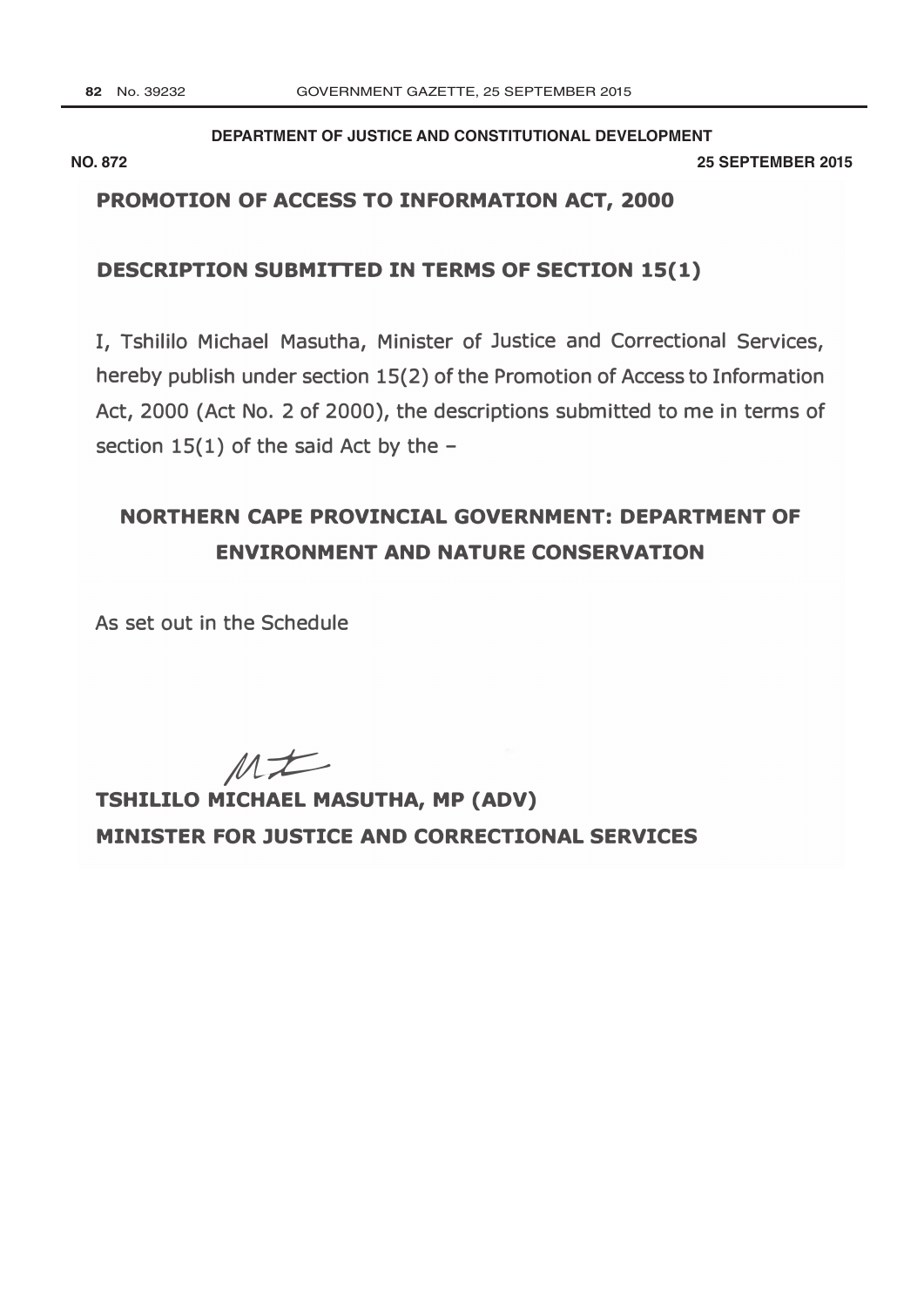#### DEPARTMENT OF JUSTICE AND CONSTITUTIONAL DEVELOPMENT

**NO. 872** 

**25 SEPTEMBER 2015** 

# PROMOTION OF ACCESS TO INFORMATION ACT, 2000

### **DESCRIPTION SUBMITTED IN TERMS OF SECTION 15(1)**

I, Tshililo Michael Masutha, Minister of Justice and Correctional Services, hereby publish under section 15(2) of the Promotion of Access to Information Act, 2000 (Act No. 2 of 2000), the descriptions submitted to me in terms of section  $15(1)$  of the said Act by the -

# NORTHERN CAPE PROVINCIAL GOVERNMENT: DEPARTMENT OF **ENVIRONMENT AND NATURE CONSERVATION**

As set out in the Schedule

 $Mt$ 

TSHILILO MICHAEL MASUTHA, MP (ADV) MINISTER FOR JUSTICE AND CORRECTIONAL SERVICES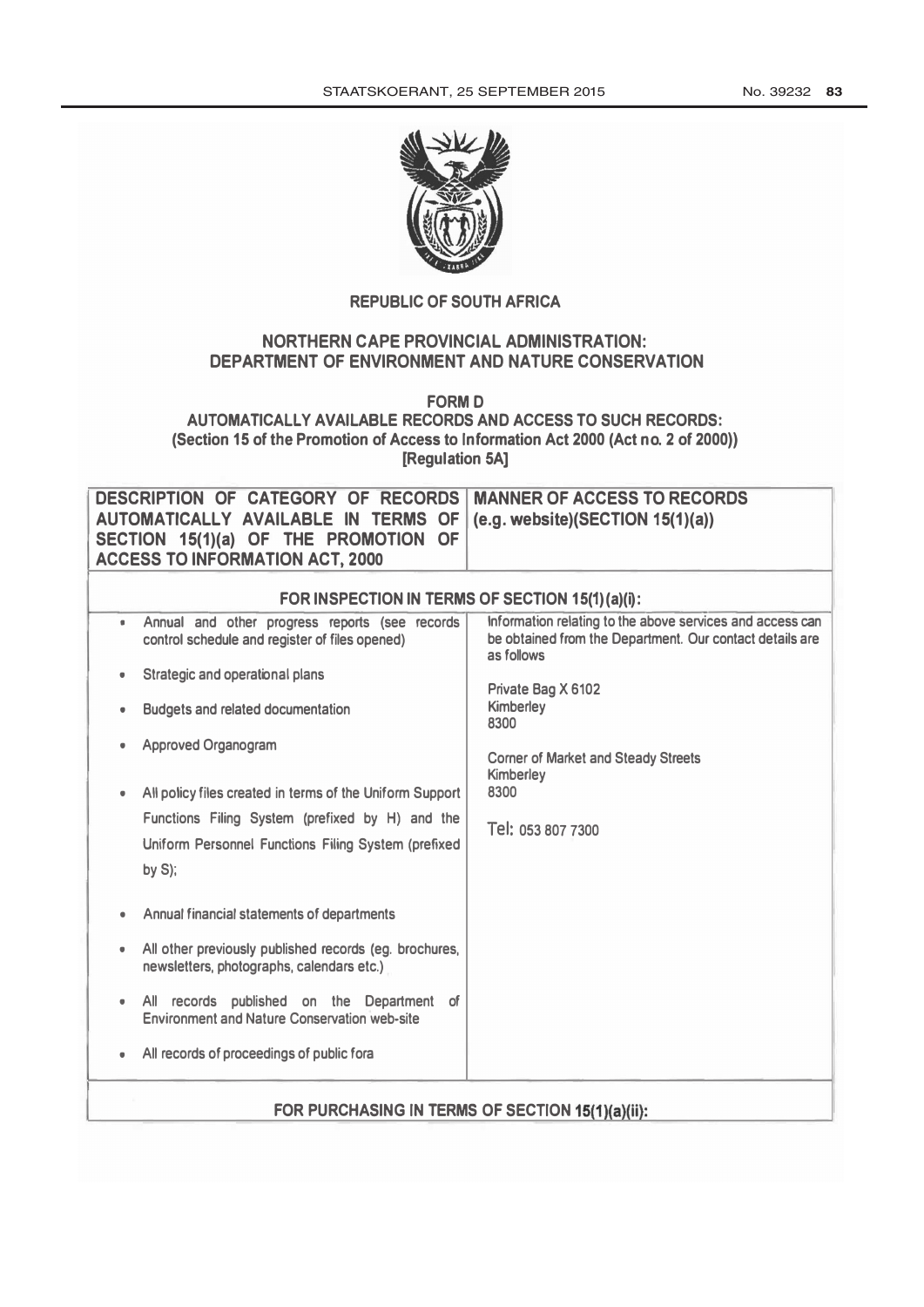

### **REPUBLIC OF SOUTH AFRICA**

## **NORTHERN CAPE PROVINCIAL ADMINISTRATION:** DEPARTMENT OF ENVIRONMENT AND NATURE CONSERVATION

**FORM D** 

AUTOMATICALLY AVAILABLE RECORDS AND ACCESS TO SUCH RECORDS: (Section 15 of the Promotion of Access to Information Act 2000 (Act no. 2 of 2000)) [Regulation 5A]

|                                                  | <b>DESCRIPTION OF CATEGORY OF RECORDS</b><br>AUTOMATICALLY AVAILABLE IN TERMS OF<br>SECTION 15(1)(a) OF THE PROMOTION OF<br><b>ACCESS TO INFORMATION ACT, 2000</b> | <b>MANNER OF ACCESS TO RECORDS</b><br>(e.g. website)(SECTION 15(1)(a))                                                              |  |  |
|--------------------------------------------------|--------------------------------------------------------------------------------------------------------------------------------------------------------------------|-------------------------------------------------------------------------------------------------------------------------------------|--|--|
| FOR INSPECTION IN TERMS OF SECTION 15(1) (a)(i): |                                                                                                                                                                    |                                                                                                                                     |  |  |
| ٠                                                | Annual and other progress reports (see records<br>control schedule and register of files opened)                                                                   | Information relating to the above services and access can<br>be obtained from the Department. Our contact details are<br>as follows |  |  |
| $\bullet$                                        | <b>Strategic and operational plans</b>                                                                                                                             | Private Bag X 6102                                                                                                                  |  |  |
| $\bullet$<br>$\bullet$                           | <b>Budgets and related documentation</b><br><b>Approved Organogram</b>                                                                                             | Kimberley<br>8300                                                                                                                   |  |  |
| $\bullet$                                        | All policy files created in terms of the Uniform Support                                                                                                           | <b>Corner of Market and Steady Streets</b><br>Kimberley<br>8300                                                                     |  |  |
|                                                  | Functions Filing System (prefixed by H) and the<br>Uniform Personnel Functions Filing System (prefixed<br>by $S$ );                                                | Tel: 053 807 7300                                                                                                                   |  |  |
| $\bullet$                                        | Annual financial statements of departments                                                                                                                         |                                                                                                                                     |  |  |
| $\bullet$                                        | All other previously published records (eg. brochures,<br>newsletters, photographs, calendars etc.)                                                                |                                                                                                                                     |  |  |
|                                                  | All records published on the Department of<br><b>Environment and Nature Conservation web-site</b>                                                                  |                                                                                                                                     |  |  |
| $\bullet$                                        | All records of proceedings of public fora                                                                                                                          |                                                                                                                                     |  |  |
| FOR PURCHASING IN TERMS OF SECTION 15(1)(a)(ii): |                                                                                                                                                                    |                                                                                                                                     |  |  |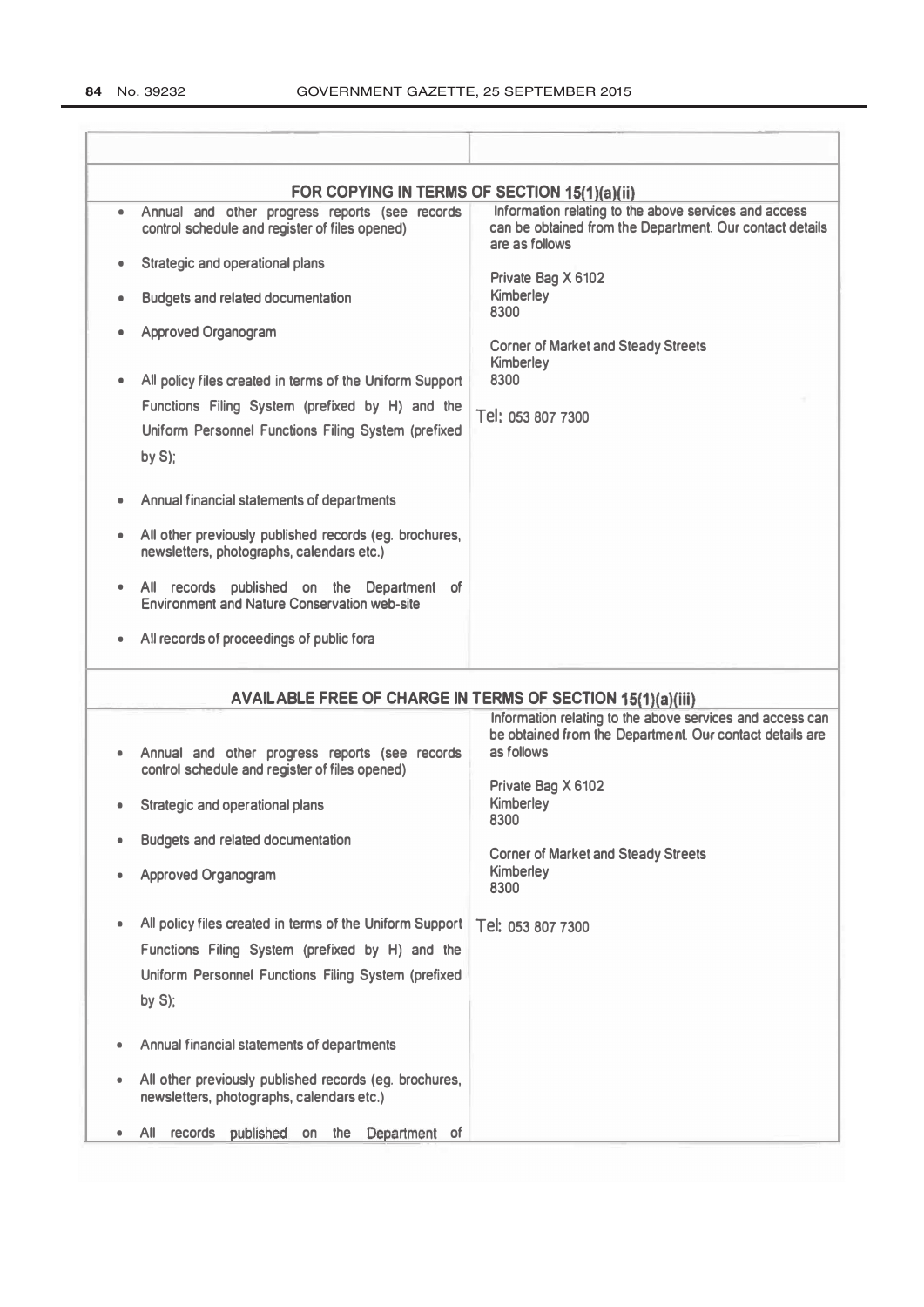|                                                            | FOR COPYING IN TERMS OF SECTION 15(1)(a)(ii)                                                        |                                                                                                                                     |  |  |
|------------------------------------------------------------|-----------------------------------------------------------------------------------------------------|-------------------------------------------------------------------------------------------------------------------------------------|--|--|
| $\bullet$                                                  | Annual and other progress reports (see records<br>control schedule and register of files opened)    | Information relating to the above services and access<br>can be obtained from the Department. Our contact details<br>are as follows |  |  |
| $\bullet$                                                  | <b>Strategic and operational plans</b>                                                              | Private Bag X 6102                                                                                                                  |  |  |
| $\bullet$                                                  | <b>Budgets and related documentation</b>                                                            | Kimberley<br>8300                                                                                                                   |  |  |
|                                                            | <b>Approved Organogram</b>                                                                          | <b>Corner of Market and Steady Streets</b><br><b>Kimberley</b>                                                                      |  |  |
|                                                            | All policy files created in terms of the Uniform Support                                            | 8300                                                                                                                                |  |  |
|                                                            | Functions Filing System (prefixed by H) and the                                                     | Tel: 053 807 7300                                                                                                                   |  |  |
|                                                            | Uniform Personnel Functions Filing System (prefixed                                                 |                                                                                                                                     |  |  |
|                                                            | by $S$ );                                                                                           |                                                                                                                                     |  |  |
|                                                            | Annual financial statements of departments                                                          |                                                                                                                                     |  |  |
| $\bullet$                                                  | All other previously published records (eg. brochures,<br>newsletters, photographs, calendars etc.) |                                                                                                                                     |  |  |
|                                                            | All records published on the Department of<br><b>Environment and Nature Conservation web-site</b>   |                                                                                                                                     |  |  |
|                                                            | All records of proceedings of public fora                                                           |                                                                                                                                     |  |  |
| AVAILABLE FREE OF CHARGE IN TERMS OF SECTION 15(1)(a)(iii) |                                                                                                     |                                                                                                                                     |  |  |
|                                                            |                                                                                                     | Information relating to the above services and access can                                                                           |  |  |
|                                                            |                                                                                                     | be obtained from the Department. Our contact details are<br>as follows                                                              |  |  |
|                                                            | Annual and other progress reports (see records<br>control schedule and register of files opened)    |                                                                                                                                     |  |  |
|                                                            | <b>Strategic and operational plans</b>                                                              | Private Bag X 6102<br>Kimberley<br>8300                                                                                             |  |  |
|                                                            | <b>Budgets and related documentation</b>                                                            |                                                                                                                                     |  |  |
|                                                            | <b>Approved Organogram</b>                                                                          | <b>Corner of Market and Steady Streets</b><br><b>Kimberley</b><br>8300                                                              |  |  |
|                                                            | All policy files created in terms of the Uniform Support                                            | Tel: 053 807 7300                                                                                                                   |  |  |
|                                                            | Functions Filing System (prefixed by H) and the                                                     |                                                                                                                                     |  |  |
|                                                            | Uniform Personnel Functions Filing System (prefixed                                                 |                                                                                                                                     |  |  |
|                                                            |                                                                                                     |                                                                                                                                     |  |  |
|                                                            | by $S$ );                                                                                           |                                                                                                                                     |  |  |
|                                                            | Annual financial statements of departments                                                          |                                                                                                                                     |  |  |
| ۰                                                          | All other previously published records (eg. brochures,<br>newsletters, photographs, calendars etc.) |                                                                                                                                     |  |  |
|                                                            | records<br>published on<br>the Department<br>of<br>Αll                                              |                                                                                                                                     |  |  |